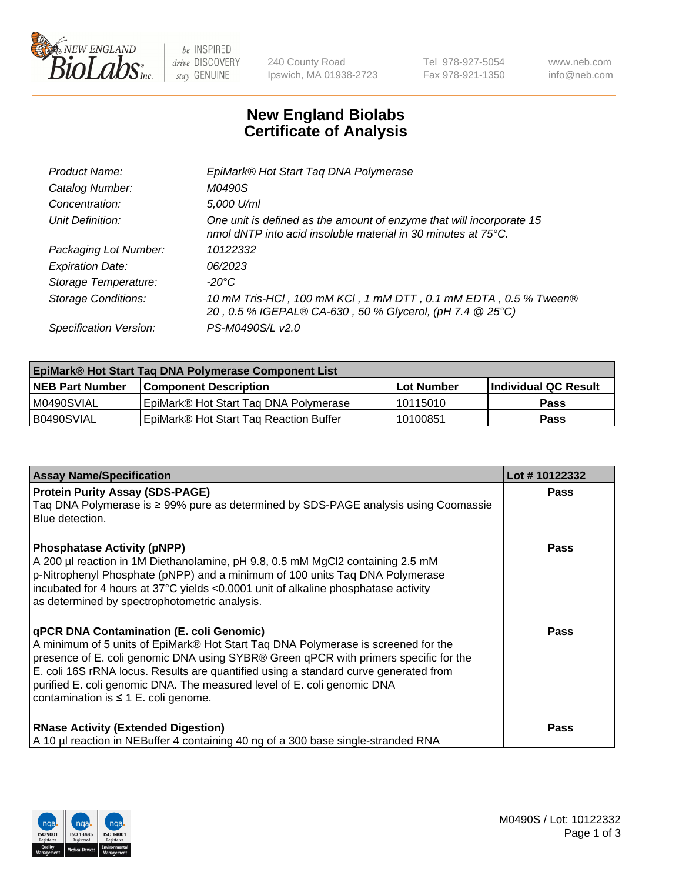

 $be$  INSPIRED drive DISCOVERY stay GENUINE

240 County Road Ipswich, MA 01938-2723 Tel 978-927-5054 Fax 978-921-1350 www.neb.com info@neb.com

## **New England Biolabs Certificate of Analysis**

| 10 mM Tris-HCl, 100 mM KCl, 1 mM DTT, 0.1 mM EDTA, 0.5 % Tween®      |
|----------------------------------------------------------------------|
|                                                                      |
| One unit is defined as the amount of enzyme that will incorporate 15 |

| EpiMark® Hot Start Taq DNA Polymerase Component List |                                        |             |                      |  |
|------------------------------------------------------|----------------------------------------|-------------|----------------------|--|
| <b>NEB Part Number</b>                               | <b>Component Description</b>           | ∣Lot Number | Individual QC Result |  |
| IM0490SVIAL                                          | EpiMark® Hot Start Tag DNA Polymerase  | l 10115010  | <b>Pass</b>          |  |
| B0490SVIAL                                           | EpiMark® Hot Start Tag Reaction Buffer | 10100851    | <b>Pass</b>          |  |

| <b>Assay Name/Specification</b>                                                                                                                                                                                                                                                                                                                                                                                                       | Lot #10122332 |
|---------------------------------------------------------------------------------------------------------------------------------------------------------------------------------------------------------------------------------------------------------------------------------------------------------------------------------------------------------------------------------------------------------------------------------------|---------------|
| <b>Protein Purity Assay (SDS-PAGE)</b><br>Taq DNA Polymerase is ≥ 99% pure as determined by SDS-PAGE analysis using Coomassie<br>Blue detection.                                                                                                                                                                                                                                                                                      | <b>Pass</b>   |
| <b>Phosphatase Activity (pNPP)</b><br>A 200 µl reaction in 1M Diethanolamine, pH 9.8, 0.5 mM MgCl2 containing 2.5 mM<br>p-Nitrophenyl Phosphate (pNPP) and a minimum of 100 units Taq DNA Polymerase<br>incubated for 4 hours at 37°C yields <0.0001 unit of alkaline phosphatase activity<br>as determined by spectrophotometric analysis.                                                                                           | Pass          |
| qPCR DNA Contamination (E. coli Genomic)<br>A minimum of 5 units of EpiMark® Hot Start Tag DNA Polymerase is screened for the<br>presence of E. coli genomic DNA using SYBR® Green qPCR with primers specific for the<br>E. coli 16S rRNA locus. Results are quantified using a standard curve generated from<br>purified E. coli genomic DNA. The measured level of E. coli genomic DNA<br>contamination is $\leq 1$ E. coli genome. | Pass          |
| <b>RNase Activity (Extended Digestion)</b><br>A 10 µl reaction in NEBuffer 4 containing 40 ng of a 300 base single-stranded RNA                                                                                                                                                                                                                                                                                                       | <b>Pass</b>   |

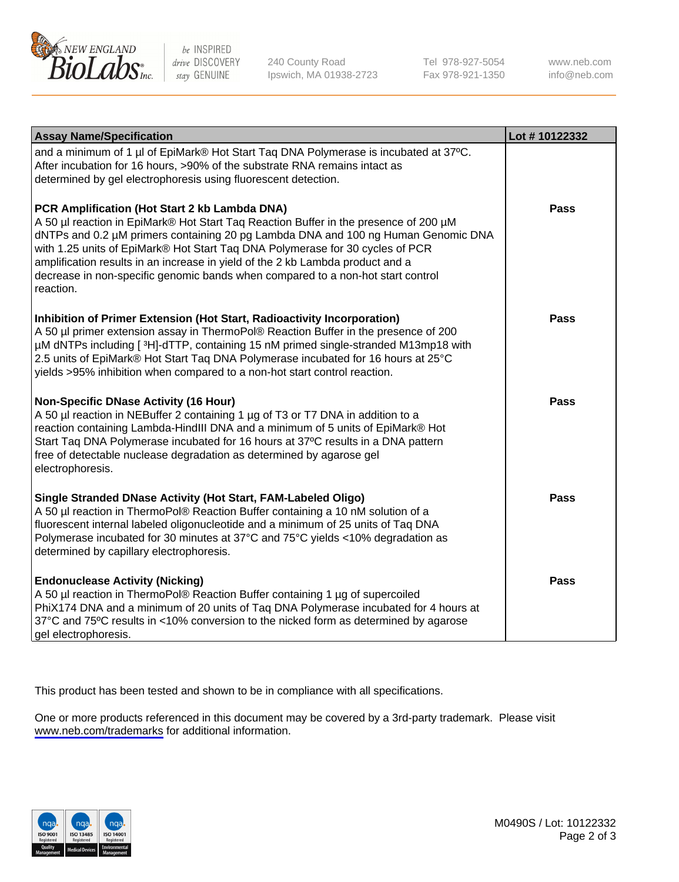

be INSPIRED drive DISCOVERY stay GENUINE

240 County Road Ipswich, MA 01938-2723 Tel 978-927-5054 Fax 978-921-1350

www.neb.com info@neb.com

| <b>Assay Name/Specification</b>                                                                                                                                                                                                                                                                                                                                                                                                                                                               | Lot #10122332 |
|-----------------------------------------------------------------------------------------------------------------------------------------------------------------------------------------------------------------------------------------------------------------------------------------------------------------------------------------------------------------------------------------------------------------------------------------------------------------------------------------------|---------------|
| and a minimum of 1 µl of EpiMark® Hot Start Taq DNA Polymerase is incubated at 37°C.<br>After incubation for 16 hours, >90% of the substrate RNA remains intact as<br>determined by gel electrophoresis using fluorescent detection.                                                                                                                                                                                                                                                          |               |
| PCR Amplification (Hot Start 2 kb Lambda DNA)<br>A 50 µl reaction in EpiMark® Hot Start Taq Reaction Buffer in the presence of 200 µM<br>dNTPs and 0.2 µM primers containing 20 pg Lambda DNA and 100 ng Human Genomic DNA<br>with 1.25 units of EpiMark® Hot Start Taq DNA Polymerase for 30 cycles of PCR<br>amplification results in an increase in yield of the 2 kb Lambda product and a<br>decrease in non-specific genomic bands when compared to a non-hot start control<br>reaction. | <b>Pass</b>   |
| Inhibition of Primer Extension (Hot Start, Radioactivity Incorporation)<br>A 50 µl primer extension assay in ThermoPol® Reaction Buffer in the presence of 200<br>µM dNTPs including [3H]-dTTP, containing 15 nM primed single-stranded M13mp18 with<br>2.5 units of EpiMark® Hot Start Taq DNA Polymerase incubated for 16 hours at 25°C<br>yields >95% inhibition when compared to a non-hot start control reaction.                                                                        | <b>Pass</b>   |
| <b>Non-Specific DNase Activity (16 Hour)</b><br>A 50 µl reaction in NEBuffer 2 containing 1 µg of T3 or T7 DNA in addition to a<br>reaction containing Lambda-HindIII DNA and a minimum of 5 units of EpiMark® Hot<br>Start Taq DNA Polymerase incubated for 16 hours at 37°C results in a DNA pattern<br>free of detectable nuclease degradation as determined by agarose gel<br>electrophoresis.                                                                                            | <b>Pass</b>   |
| Single Stranded DNase Activity (Hot Start, FAM-Labeled Oligo)<br>A 50 µl reaction in ThermoPol® Reaction Buffer containing a 10 nM solution of a<br>fluorescent internal labeled oligonucleotide and a minimum of 25 units of Taq DNA<br>Polymerase incubated for 30 minutes at 37°C and 75°C yields <10% degradation as<br>determined by capillary electrophoresis.                                                                                                                          | <b>Pass</b>   |
| <b>Endonuclease Activity (Nicking)</b><br>A 50 µl reaction in ThermoPol® Reaction Buffer containing 1 µg of supercoiled<br>PhiX174 DNA and a minimum of 20 units of Taq DNA Polymerase incubated for 4 hours at<br>37°C and 75°C results in <10% conversion to the nicked form as determined by agarose<br>gel electrophoresis.                                                                                                                                                               | <b>Pass</b>   |

This product has been tested and shown to be in compliance with all specifications.

One or more products referenced in this document may be covered by a 3rd-party trademark. Please visit <www.neb.com/trademarks>for additional information.